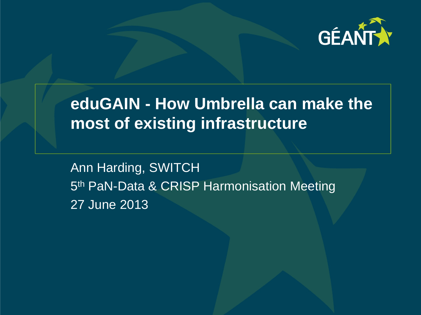

# **eduGAIN - How Umbrella can make the most of existing infrastructure**

Ann Harding, SWITCH 5<sup>th</sup> PaN-Data & CRISP Harmonisation Meeting 27 June 2013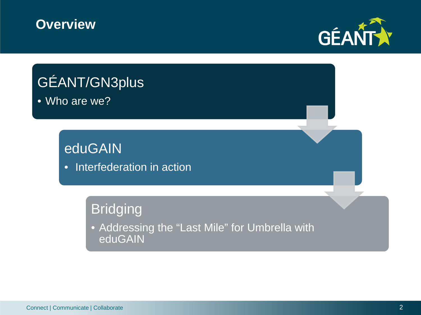#### **Overview**



# GÉANT/GN3plus • Who are we? **eduGAIN** • Interfederation in action **Bridging** • Addressing the "Last Mile" for Umbrella with eduGAIN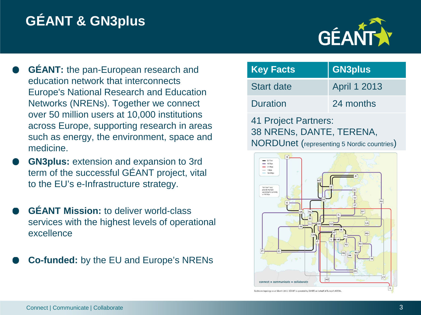# **GÉANT & GN3plus**



- **GÉANT:** the pan-European research and education network that interconnects Europe's National Research and Education Networks (NRENs). Together we connect over 50 million users at 10,000 institutions across Europe, supporting research in areas such as energy, the environment, space and medicine.
- **GN3plus:** extension and expansion to 3rd term of the successful GÉANT project, vital to the EU's e-Infrastructure strategy.
- **GÉANT Mission:** to deliver world-class services with the highest levels of operational excellence
- **Co-funded:** by the EU and Europe's NRENs

| <b>Key Facts</b>             | <b>GN3plus</b>      |  |  |
|------------------------------|---------------------|--|--|
| <b>Start date</b>            | <b>April 1 2013</b> |  |  |
| <b>Duration</b><br>24 months |                     |  |  |
| 41 Project Partners:         |                     |  |  |

41 Project Partners: 38 NRENs, DANTE, TERENA, NORDUnet (representing 5 Nordic countries)



ckbone topology as at March 2012, GÉANT is operated by DANTE on behalf of Europe's NREN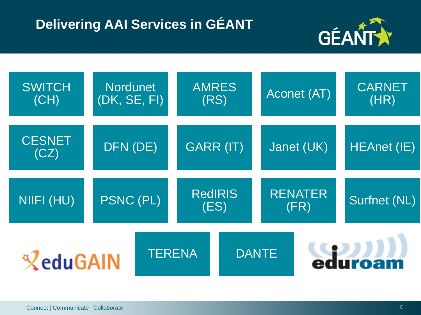## **Delivering AAI Services in GÉANT**



| <b>SWITCH</b><br>(CH) | <b>Nordunet</b><br>(DK, SE, FI) |               | <b>AMRES</b><br>(RS)   |  | Aconet (AT)            |  | <b>CARNET</b><br>(HR) |
|-----------------------|---------------------------------|---------------|------------------------|--|------------------------|--|-----------------------|
| <b>CESNET</b><br>(CZ) | DFN (DE)                        |               | GARR (IT)              |  | Janet (UK)             |  | <b>HEAnet (IE)</b>    |
| NIIFI (HU)            | PSNC (PL)                       |               | <b>RedIRIS</b><br>(ES) |  | <b>RENATER</b><br>(FR) |  | Surfnet (NL)          |
| <b>ZeduGAIN</b>       |                                 | <b>TERENA</b> |                        |  | <b>DANTE</b>           |  | eduroam               |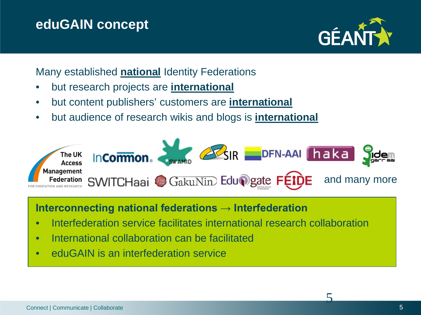#### **eduGAIN concept**



Many established **national** Identity Federations

- but research projects are **international**
- but content publishers' customers are **international**
- but audience of research wikis and blogs is **international**



#### **Interconnecting national federations → Interfederation**

- Interfederation service facilitates international research collaboration
- International collaboration can be facilitated
- eduGAIN is an interfederation service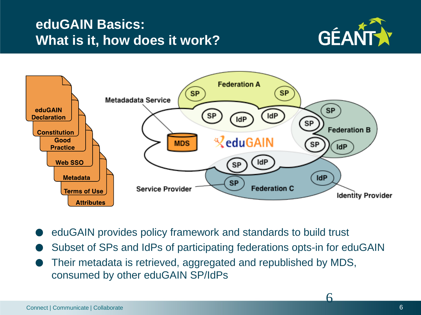#### **eduGAIN Basics: What is it, how does it work?**





- eduGAIN provides policy framework and standards to build trust
- Subset of SPs and IdPs of participating federations opts-in for eduGAIN
- Their metadata is retrieved, aggregated and republished by MDS, consumed by other eduGAIN SP/IdPs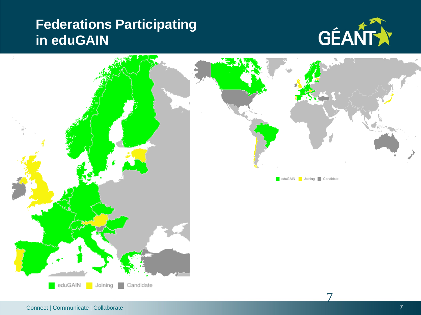#### **Federations Participating in eduGAIN**



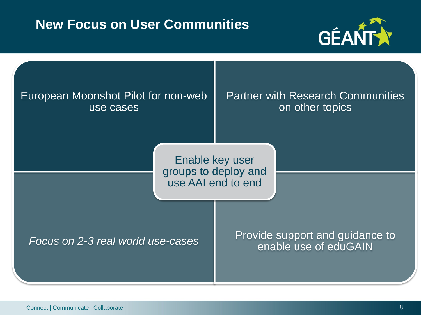#### **New Focus on User Communities**



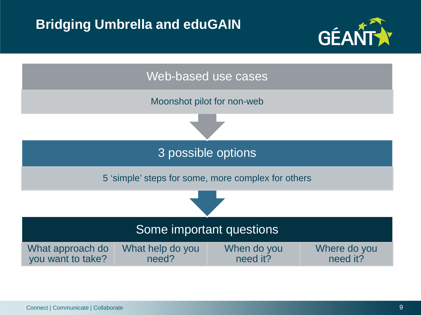#### **Bridging Umbrella and eduGAIN**



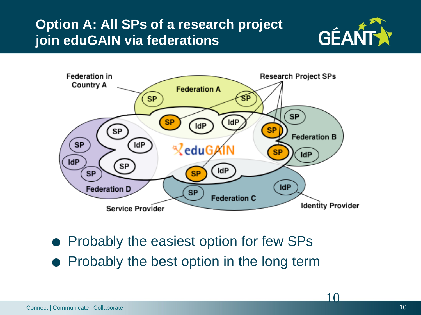### **Option A: All SPs of a research project join eduGAIN via federations**





- Probably the easiest option for few SPs
- Probably the best option in the long term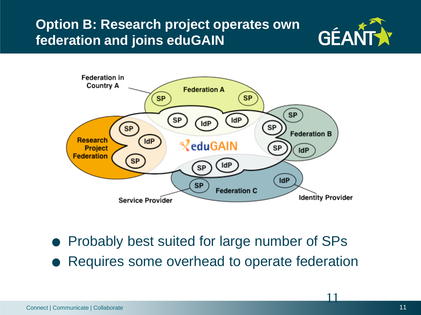### **Option B: Research project operates own federation and joins eduGAIN**





- Probably best suited for large number of SPs
- Requires some overhead to operate federation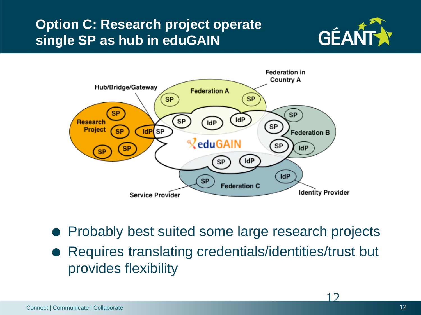### **Option C: Research project operate single SP as hub in eduGAIN**





- Probably best suited some large research projects
- Requires translating credentials/identities/trust but provides flexibility

 $1<sub>2</sub>$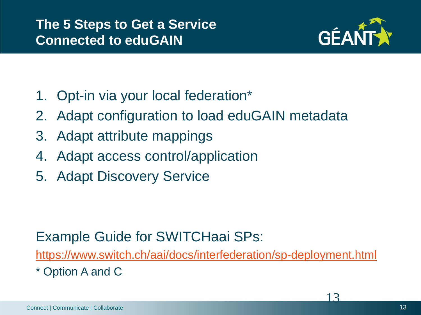

- 1. Opt-in via your local federation\*
- 2. Adapt configuration to load eduGAIN metadata
- 3. Adapt attribute mappings
- 4. Adapt access control/application
- 5. Adapt Discovery Service

### Example Guide for SWITCHaai SPs:

<https://www.switch.ch/aai/docs/interfederation/sp-deployment.html>

\* Option A and C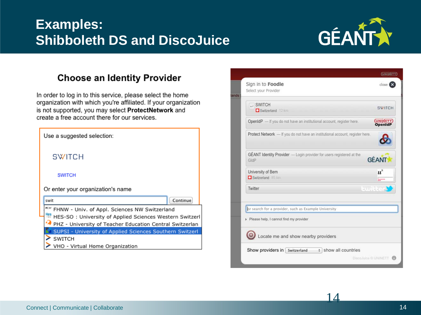#### **Examples: Shibboleth DS and DiscoJuice**



#### **Choose an Identity Provider**

In order to log in to this service, please select the home organization with which you're affiliated. If your organization is not supported, you may select ProtectNetwork and create a free account there for our services.



| SWITCH<br>Switzerland 12 km                                                   | <b>SWITCH</b>                                 |
|-------------------------------------------------------------------------------|-----------------------------------------------|
| OpenIdP - If you do not have an institutional account, register here.         | <b>UNINETT</b>                                |
| Protect Network - If you do not have an institutional account, register here. |                                               |
| GÉANT Identity Provider - Login provider for users registered at the<br>GldP  | <b>GÉANT</b>                                  |
| University of Bern<br>Switzerland 85 km                                       | $\boldsymbol{u}^{\text{b}}$<br><b>Barness</b> |
| Twitter                                                                       | twitte                                        |
| or search for a provider, such as Example University                          |                                               |
| Please help, I cannot find my provider                                        |                                               |
| Locate me and show nearby providers                                           |                                               |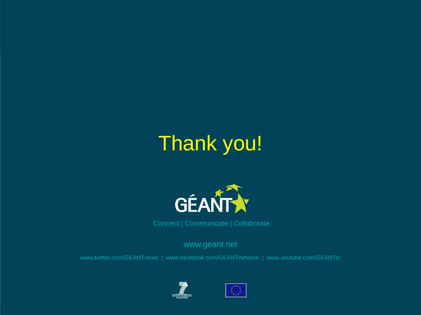# Thank you!



Connect | Communicate | Collaborate

www.geant.net

www.twitter.com/GEANTnews | www.facebook.com/GEANTnetwork | www.youtube.com/GEANTtv



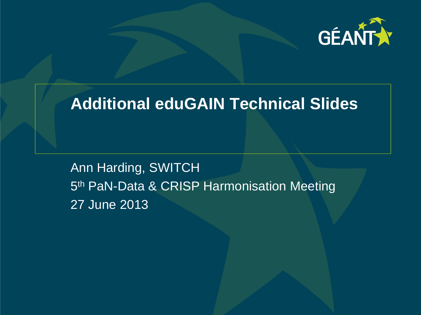

### **Additional eduGAIN Technical Slides**

Ann Harding, SWITCH 5<sup>th</sup> PaN-Data & CRISP Harmonisation Meeting 27 June 2013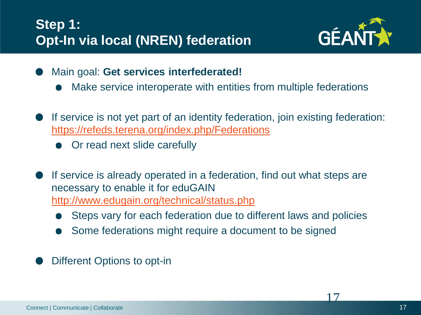

- Main goal: **Get services interfederated!**
	- Make service interoperate with entities from multiple federations
- If service is not yet part of an identity federation, join existing federation: <https://refeds.terena.org/index.php/Federations>
	- Or read next slide carefully
- If service is already operated in a federation, find out what steps are necessary to enable it for eduGAIN <http://www.edugain.org/technical/status.php>
	- Steps vary for each federation due to different laws and policies
	- Some federations might require a document to be signed
- Different Options to opt-in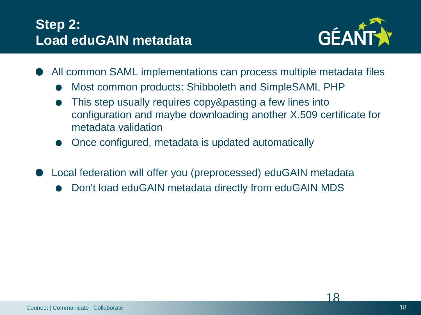#### **Step 2: Load eduGAIN metadata**



- All common SAML implementations can process multiple metadata files
	- Most common products: Shibboleth and SimpleSAML PHP
	- This step usually requires copy&pasting a few lines into configuration and maybe downloading another X.509 certificate for metadata validation
	- Once configured, metadata is updated automatically
- Local federation will offer you (preprocessed) eduGAIN metadata
	- Don't load eduGAIN metadata directly from eduGAIN MDS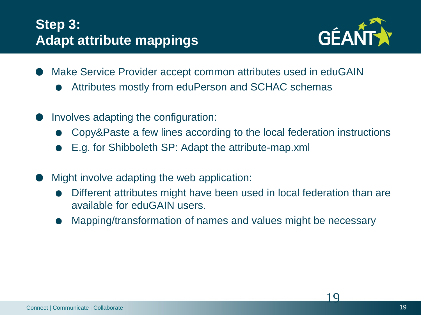#### **Step 3: Adapt attribute mappings**



- Make Service Provider accept common attributes used in eduGAIN
	- Attributes mostly from eduPerson and SCHAC schemas
- Involves adapting the configuration:
	- Copy&Paste a few lines according to the local federation instructions
	- E.g. for Shibboleth SP: Adapt the attribute-map.xml
- Might involve adapting the web application:
	- Different attributes might have been used in local federation than are available for eduGAIN users.
	- Mapping/transformation of names and values might be necessary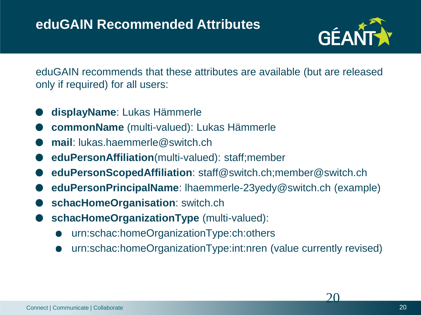

eduGAIN recommends that these attributes are available (but are released only if required) for all users:

- **displayName**: Lukas Hämmerle
- **commonName** (multi-valued): Lukas Hämmerle
- **mail**: lukas.haemmerle@switch.ch
- **eduPersonAffiliation**(multi-valued): staff;member
- **eduPersonScopedAffiliation**: staff@switch.ch;member@switch.ch
- **eduPersonPrincipalName**: lhaemmerle-23yedy@switch.ch (example)
- **schacHomeOrganisation**: switch.ch
- **schacHomeOrganizationType** (multi-valued):
	- urn:schac:homeOrganizationType:ch:others
	- urn:schac:homeOrganizationType:int:nren (value currently revised)

 $\Omega$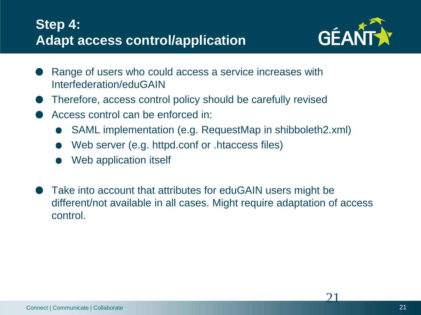#### **Step 4: Adapt access control/application**



- Range of users who could access a service increases with Interfederation/eduGAIN
- Therefore, access control policy should be carefully revised
- Access control can be enforced in:
	- SAML implementation (e.g. RequestMap in shibboleth2.xml)
	- Web server (e.g. httpd.conf or .htaccess files)
	- Web application itself
- Take into account that attributes for eduGAIN users might be different/not available in all cases. Might require adaptation of access control.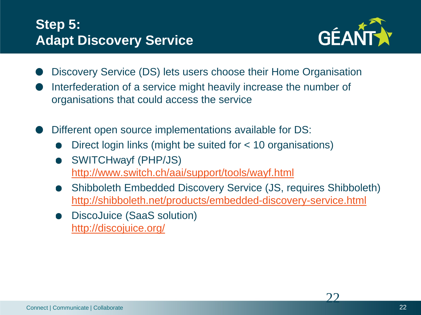#### **Step 5: Adapt Discovery Service**



- Discovery Service (DS) lets users choose their Home Organisation
- Interfederation of a service might heavily increase the number of organisations that could access the service
- Different open source implementations available for DS:
	- Direct login links (might be suited for < 10 organisations)
	- SWITCHwayf (PHP/JS) <http://www.switch.ch/aai/support/tools/wayf.html>
	- Shibboleth Embedded Discovery Service (JS, requires Shibboleth) <http://shibboleth.net/products/embedded-discovery-service.html>
	- DiscoJuice (SaaS solution) <http://discojuice.org/>